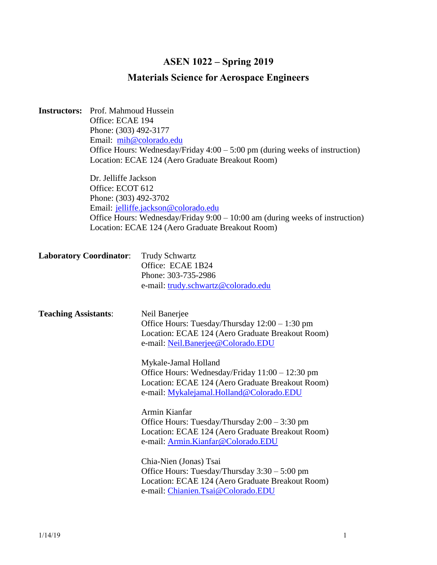# **ASEN 1022 – Spring 2019**

# **Materials Science for Aerospace Engineers**

| <b>Instructors:</b><br>Prof. Mahmoud Hussein<br>Office: ECAE 194<br>Phone: (303) 492-3177<br>Email: mih@colorado.edu<br>Office Hours: Wednesday/Friday $4:00 - 5:00$ pm (during weeks of instruction)<br>Location: ECAE 124 (Aero Graduate Breakout Room)<br>Dr. Jelliffe Jackson<br>Office: ECOT 612<br>Phone: (303) 492-3702<br>Email: jelliffe.jackson@colorado.edu |                                                                                                                                  |                                                                                                                                                                                                                                                                                                                                        |  |  |  |
|------------------------------------------------------------------------------------------------------------------------------------------------------------------------------------------------------------------------------------------------------------------------------------------------------------------------------------------------------------------------|----------------------------------------------------------------------------------------------------------------------------------|----------------------------------------------------------------------------------------------------------------------------------------------------------------------------------------------------------------------------------------------------------------------------------------------------------------------------------------|--|--|--|
|                                                                                                                                                                                                                                                                                                                                                                        | Office Hours: Wednesday/Friday 9:00 - 10:00 am (during weeks of instruction)<br>Location: ECAE 124 (Aero Graduate Breakout Room) |                                                                                                                                                                                                                                                                                                                                        |  |  |  |
| <b>Laboratory Coordinator:</b>                                                                                                                                                                                                                                                                                                                                         |                                                                                                                                  | <b>Trudy Schwartz</b><br>Office: ECAE 1B24<br>Phone: 303-735-2986<br>e-mail: trudy.schwartz@colorado.edu                                                                                                                                                                                                                               |  |  |  |
| <b>Teaching Assistants:</b>                                                                                                                                                                                                                                                                                                                                            |                                                                                                                                  | Neil Banerjee<br>Office Hours: Tuesday/Thursday $12:00 - 1:30$ pm<br>Location: ECAE 124 (Aero Graduate Breakout Room)<br>e-mail: Neil.Banerjee@Colorado.EDU<br>Mykale-Jamal Holland<br>Office Hours: Wednesday/Friday 11:00 - 12:30 pm<br>Location: ECAE 124 (Aero Graduate Breakout Room)<br>e-mail: Mykalejamal.Holland@Colorado.EDU |  |  |  |
|                                                                                                                                                                                                                                                                                                                                                                        |                                                                                                                                  | Armin Kianfar<br>Office Hours: Tuesday/Thursday 2:00 - 3:30 pm<br>Location: ECAE 124 (Aero Graduate Breakout Room)<br>e-mail: Armin.Kianfar@Colorado.EDU<br>Chia-Nien (Jonas) Tsai<br>Office Hours: Tuesday/Thursday $3:30 - 5:00$ pm<br>Location: ECAE 124 (Aero Graduate Breakout Room)<br>e-mail: Chianien.Tsai@Colorado.EDU        |  |  |  |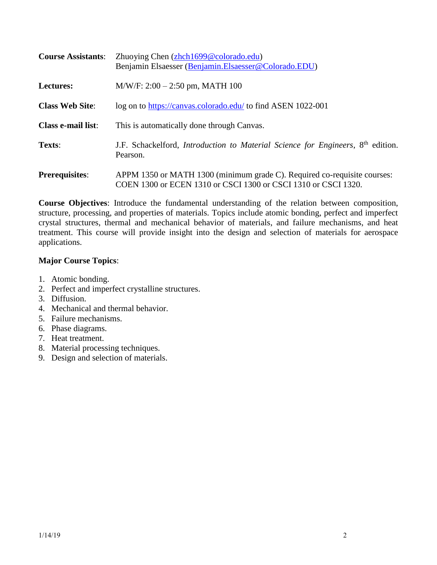| <b>Course Assistants:</b> | Zhuoying Chen (zhch1699@colorado.edu)<br>Benjamin Elsaesser (Benjamin.Elsaesser@Colorado.EDU)                                              |  |
|---------------------------|--------------------------------------------------------------------------------------------------------------------------------------------|--|
| <b>Lectures:</b>          | $M/W/F: 2:00 - 2:50$ pm, MATH 100                                                                                                          |  |
| <b>Class Web Site:</b>    | log on to https://canvas.colorado.edu/ to find ASEN 1022-001                                                                               |  |
| <b>Class e-mail list:</b> | This is automatically done through Canvas.                                                                                                 |  |
| Texts:                    | J.F. Schackelford, <i>Introduction to Material Science for Engineers</i> , 8 <sup>th</sup> edition.<br>Pearson.                            |  |
| <b>Prerequisites:</b>     | APPM 1350 or MATH 1300 (minimum grade C). Required co-requisite courses:<br>COEN 1300 or ECEN 1310 or CSCI 1300 or CSCI 1310 or CSCI 1320. |  |

**Course Objectives**: Introduce the fundamental understanding of the relation between composition, structure, processing, and properties of materials. Topics include atomic bonding, perfect and imperfect crystal structures, thermal and mechanical behavior of materials, and failure mechanisms, and heat treatment. This course will provide insight into the design and selection of materials for aerospace applications.

## **Major Course Topics**:

- 1. Atomic bonding.
- 2. Perfect and imperfect crystalline structures.
- 3. Diffusion.
- 4. Mechanical and thermal behavior.
- 5. Failure mechanisms.
- 6. Phase diagrams.
- 7. Heat treatment.
- 8. Material processing techniques.
- 9. Design and selection of materials.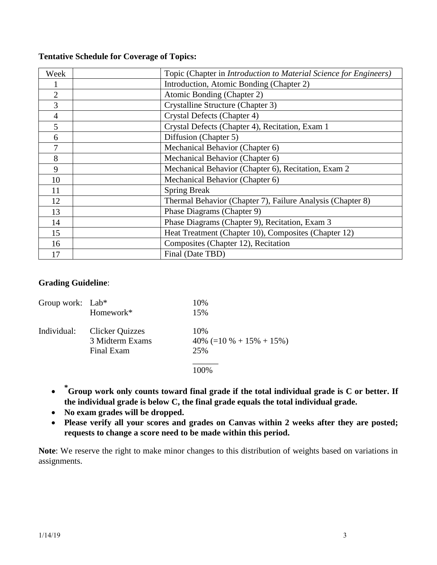| Week           | Topic (Chapter in Introduction to Material Science for Engineers) |
|----------------|-------------------------------------------------------------------|
|                | Introduction, Atomic Bonding (Chapter 2)                          |
| $\overline{2}$ | Atomic Bonding (Chapter 2)                                        |
| 3              | Crystalline Structure (Chapter 3)                                 |
| 4              | Crystal Defects (Chapter 4)                                       |
| 5              | Crystal Defects (Chapter 4), Recitation, Exam 1                   |
| 6              | Diffusion (Chapter 5)                                             |
| 7              | Mechanical Behavior (Chapter 6)                                   |
| 8              | Mechanical Behavior (Chapter 6)                                   |
| 9              | Mechanical Behavior (Chapter 6), Recitation, Exam 2               |
| 10             | Mechanical Behavior (Chapter 6)                                   |
| 11             | <b>Spring Break</b>                                               |
| 12             | Thermal Behavior (Chapter 7), Failure Analysis (Chapter 8)        |
| 13             | Phase Diagrams (Chapter 9)                                        |
| 14             | Phase Diagrams (Chapter 9), Recitation, Exam 3                    |
| 15             | Heat Treatment (Chapter 10), Composites (Chapter 12)              |
| 16             | Composites (Chapter 12), Recitation                               |
| 17             | Final (Date TBD)                                                  |

### **Grading Guideline**:

| Group work: $Lab*$ |                        | 10%                           |
|--------------------|------------------------|-------------------------------|
|                    | Homework*              | 15%                           |
| Individual:        | <b>Clicker Quizzes</b> | 10%                           |
|                    | 3 Midterm Exams        | $40\%$ (=10 \% + 15\% + 15\%) |
|                    | Final Exam             | 25%                           |
|                    |                        | 100\%                         |
|                    |                        |                               |

- **\* Group work only counts toward final grade if the total individual grade is C or better. If the individual grade is below C, the final grade equals the total individual grade.**
- **No exam grades will be dropped.**
- **Please verify all your scores and grades on Canvas within 2 weeks after they are posted; requests to change a score need to be made within this period.**

**Note**: We reserve the right to make minor changes to this distribution of weights based on variations in assignments.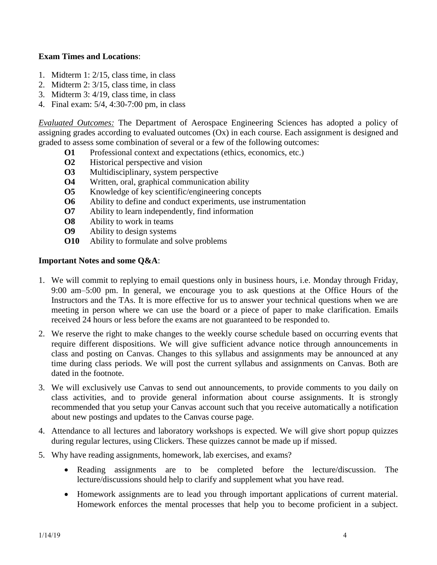### **Exam Times and Locations**:

- 1. Midterm 1: 2/15, class time, in class
- 2. Midterm 2: 3/15, class time, in class
- 3. Midterm 3: 4/19, class time, in class
- 4. Final exam: 5/4, 4:30-7:00 pm, in class

*Evaluated Outcomes:* The Department of Aerospace Engineering Sciences has adopted a policy of assigning grades according to evaluated outcomes (Ox) in each course. Each assignment is designed and graded to assess some combination of several or a few of the following outcomes:

- **O1** Professional context and expectations (ethics, economics, etc.)
- **O2** Historical perspective and vision
- **O3** Multidisciplinary, system perspective
- **O4** Written, oral, graphical communication ability
- **O5** Knowledge of key scientific/engineering concepts
- **O6** Ability to define and conduct experiments, use instrumentation
- **O7** Ability to learn independently, find information
- **O8** Ability to work in teams
- **O9** Ability to design systems
- **O10** Ability to formulate and solve problems

#### **Important Notes and some Q&A**:

- 1. We will commit to replying to email questions only in business hours, i.e. Monday through Friday, 9:00 am–5:00 pm. In general, we encourage you to ask questions at the Office Hours of the Instructors and the TAs. It is more effective for us to answer your technical questions when we are meeting in person where we can use the board or a piece of paper to make clarification. Emails received 24 hours or less before the exams are not guaranteed to be responded to.
- 2. We reserve the right to make changes to the weekly course schedule based on occurring events that require different dispositions. We will give sufficient advance notice through announcements in class and posting on Canvas. Changes to this syllabus and assignments may be announced at any time during class periods. We will post the current syllabus and assignments on Canvas. Both are dated in the footnote.
- 3. We will exclusively use Canvas to send out announcements, to provide comments to you daily on class activities, and to provide general information about course assignments. It is strongly recommended that you setup your Canvas account such that you receive automatically a notification about new postings and updates to the Canvas course page.
- 4. Attendance to all lectures and laboratory workshops is expected. We will give short popup quizzes during regular lectures, using Clickers. These quizzes cannot be made up if missed.
- 5. Why have reading assignments, homework, lab exercises, and exams?
	- Reading assignments are to be completed before the lecture/discussion. The lecture/discussions should help to clarify and supplement what you have read.
	- Homework assignments are to lead you through important applications of current material. Homework enforces the mental processes that help you to become proficient in a subject.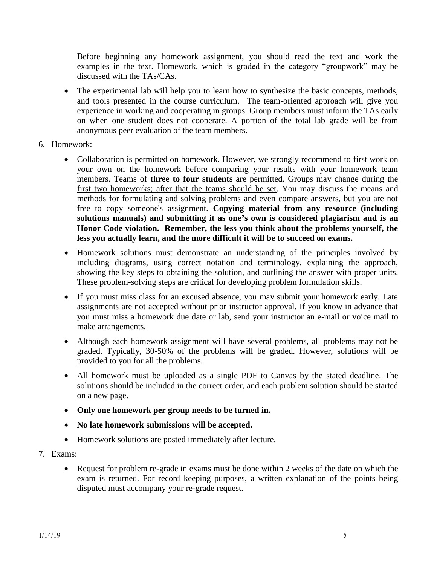Before beginning any homework assignment, you should read the text and work the examples in the text. Homework, which is graded in the category "groupwork" may be discussed with the TAs/CAs.

- The experimental lab will help you to learn how to synthesize the basic concepts, methods, and tools presented in the course curriculum. The team-oriented approach will give you experience in working and cooperating in groups. Group members must inform the TAs early on when one student does not cooperate. A portion of the total lab grade will be from anonymous peer evaluation of the team members.
- 6. Homework:
	- Collaboration is permitted on homework. However, we strongly recommend to first work on your own on the homework before comparing your results with your homework team members. Teams of **three to four students** are permitted. Groups may change during the first two homeworks; after that the teams should be set. You may discuss the means and methods for formulating and solving problems and even compare answers, but you are not free to copy someone's assignment. **Copying material from any resource (including solutions manuals) and submitting it as one's own is considered plagiarism and is an Honor Code violation. Remember, the less you think about the problems yourself, the less you actually learn, and the more difficult it will be to succeed on exams.**
	- Homework solutions must demonstrate an understanding of the principles involved by including diagrams, using correct notation and terminology, explaining the approach, showing the key steps to obtaining the solution, and outlining the answer with proper units. These problem-solving steps are critical for developing problem formulation skills.
	- If you must miss class for an excused absence, you may submit your homework early. Late assignments are not accepted without prior instructor approval. If you know in advance that you must miss a homework due date or lab, send your instructor an e-mail or voice mail to make arrangements.
	- Although each homework assignment will have several problems, all problems may not be graded. Typically, 30-50% of the problems will be graded. However, solutions will be provided to you for all the problems.
	- All homework must be uploaded as a single PDF to Canvas by the stated deadline. The solutions should be included in the correct order, and each problem solution should be started on a new page.
	- **Only one homework per group needs to be turned in.**
	- **No late homework submissions will be accepted.**
	- Homework solutions are posted immediately after lecture.
- 7. Exams:
	- Request for problem re-grade in exams must be done within 2 weeks of the date on which the exam is returned. For record keeping purposes, a written explanation of the points being disputed must accompany your re-grade request.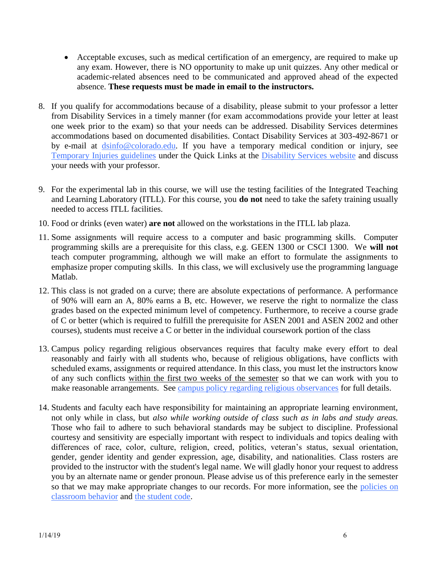- Acceptable excuses, such as medical certification of an emergency, are required to make up any exam. However, there is NO opportunity to make up unit quizzes. Any other medical or academic-related absences need to be communicated and approved ahead of the expected absence. **These requests must be made in email to the instructors.**
- 8. If you qualify for accommodations because of a disability, please submit to your professor a letter from Disability Services in a timely manner (for exam accommodations provide your letter at least one week prior to the exam) so that your needs can be addressed. Disability Services determines accommodations based on documented disabilities. Contact Disability Services at 303-492-8671 or by e-mail at [dsinfo@colorado.edu.](mailto:dsinfo@colorado.edu) If you have a temporary medical condition or injury, see [Temporary Injuries guidelines](http://www.alumniconnections.com/links/link.cgi?l=6835148&h=6451&e=UCBI-20151203180101) under the Quick Links at the [Disability Services website](http://www.alumniconnections.com/links/link.cgi?l=6835149&h=6451&e=UCBI-20151203180101) and discuss your needs with your professor.
- 9. For the experimental lab in this course, we will use the testing facilities of the Integrated Teaching and Learning Laboratory (ITLL). For this course, you **do not** need to take the safety training usually needed to access ITLL facilities.
- 10. Food or drinks (even water) **are not** allowed on the workstations in the ITLL lab plaza.
- 11. Some assignments will require access to a computer and basic programming skills. Computer programming skills are a prerequisite for this class, e.g. GEEN 1300 or CSCI 1300. We **will not** teach computer programming, although we will make an effort to formulate the assignments to emphasize proper computing skills. In this class, we will exclusively use the programming language Matlab.
- 12. This class is not graded on a curve; there are absolute expectations of performance. A performance of 90% will earn an A, 80% earns a B, etc. However, we reserve the right to normalize the class grades based on the expected minimum level of competency. Furthermore, to receive a course grade of C or better (which is required to fulfill the prerequisite for ASEN 2001 and ASEN 2002 and other courses), students must receive a C or better in the individual coursework portion of the class
- 13. Campus policy regarding religious observances requires that faculty make every effort to deal reasonably and fairly with all students who, because of religious obligations, have conflicts with scheduled exams, assignments or required attendance. In this class, you must let the instructors know of any such conflicts within the first two weeks of the semester so that we can work with you to make reasonable arrangements. See [campus policy regarding religious observances](http://www.alumniconnections.com/links/link.cgi?l=6835152&h=6451&e=UCBI-20151203180101) for full details.
- 14. Students and faculty each have responsibility for maintaining an appropriate learning environment, not only while in class, but *also while working outside of class such as in labs and study areas.* Those who fail to adhere to such behavioral standards may be subject to discipline. Professional courtesy and sensitivity are especially important with respect to individuals and topics dealing with differences of race, color, culture, religion, creed, politics, veteran's status, sexual orientation, gender, gender identity and gender expression, age, disability, and nationalities. Class rosters are provided to the instructor with the student's legal name. We will gladly honor your request to address you by an alternate name or gender pronoun. Please advise us of this preference early in the semester so that we may make appropriate changes to our records. For more information, see the policies on [classroom behavior](http://www.alumniconnections.com/links/link.cgi?l=6835155&h=6451&e=UCBI-20151203180101) and [the student code.](http://www.alumniconnections.com/links/link.cgi?l=6835156&h=6451&e=UCBI-20151203180101)